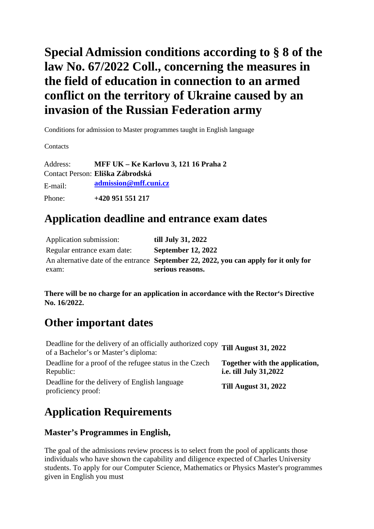# **Special Admission conditions according to § 8 of the law No. 67/2022 Coll., concerning the measures in the field of education in connection to an armed conflict on the territory of Ukraine caused by an invasion of the Russian Federation army**

Conditions for admission to Master programmes taught in English language

**Contacts** 

Address: **MFF UK – Ke Karlovu 3, 121 16 Praha 2** Contact Person: **Eliška Zábrodská** E-mail: **admissio[n@mff.cuni.cz](mailto:info@mff.cuni.cz)** Phone: **+420 951 551 217**

### **Application deadline and entrance exam dates**

| Application submission:     | till July 31, 2022                                                                    |
|-----------------------------|---------------------------------------------------------------------------------------|
| Regular entrance exam date: | <b>September 12, 2022</b>                                                             |
|                             | An alternative date of the entrance September 22, 2022, you can apply for it only for |
| exam:                       | serious reasons.                                                                      |

**There will be no charge for an application in accordance with the Rector's Directive No. 16/2022.** 

## **Other important dates**

| Deadline for the delivery of an officially authorized copy Till August 31, 2022<br>of a Bachelor's or Master's diploma: |                                                                 |
|-------------------------------------------------------------------------------------------------------------------------|-----------------------------------------------------------------|
| Deadline for a proof of the refugee status in the Czech<br>Republic:                                                    | Together with the application,<br><i>i.e. till July 31,2022</i> |
| Deadline for the delivery of English language<br>proficiency proof:                                                     | <b>Till August 31, 2022</b>                                     |

# **Application Requirements**

### **Master's Programmes in English,**

The goal of the admissions review process is to select from the pool of applicants those individuals who have shown the capability and diligence expected of Charles University students. To apply for our Computer Science, Mathematics or Physics Master's programmes given in English you must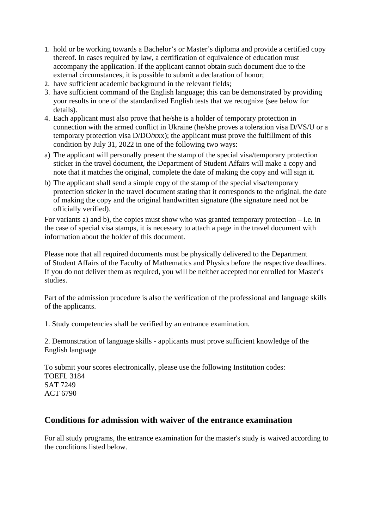- 1. hold or be working towards a Bachelor's or Master's diploma and provide a certified copy thereof. In cases required by law, a certification of equivalence of education must accompany the application. If the applicant cannot obtain such document due to the external circumstances, it is possible to submit a declaration of honor;
- 2. have sufficient academic background in the relevant fields;
- 3. have sufficient command of the English language; this can be demonstrated by providing your results in one of the standardized English tests that we recognize (see below for details).
- 4. Each applicant must also prove that he/she is a holder of temporary protection in connection with the armed conflict in Ukraine (he/she proves a toleration visa D/VS/U or a temporary protection visa D/DO/xxx); the applicant must prove the fulfillment of this condition by July 31, 2022 in one of the following two ways:
- a) The applicant will personally present the stamp of the special visa/temporary protection sticker in the travel document, the Department of Student Affairs will make a copy and note that it matches the original, complete the date of making the copy and will sign it.
- b) The applicant shall send a simple copy of the stamp of the special visa/temporary protection sticker in the travel document stating that it corresponds to the original, the date of making the copy and the original handwritten signature (the signature need not be officially verified).

For variants a) and b), the copies must show who was granted temporary protection  $-$  i.e. in the case of special visa stamps, it is necessary to attach a page in the travel document with information about the holder of this document.

Please note that all required documents must be physically delivered to the Department of Student Affairs of the Faculty of Mathematics and Physics before the respective deadlines. If you do not deliver them as required, you will be neither accepted nor enrolled for Master's studies.

Part of the admission procedure is also the verification of the professional and language skills of the applicants.

1. Study competencies shall be verified by an entrance examination.

2. Demonstration of language skills - applicants must prove sufficient knowledge of the English language

To submit your scores electronically, please use the following Institution codes: TOEFL 3184 SAT 7249 ACT 6790

#### **Conditions for admission with waiver of the entrance examination**

For all study programs, the entrance examination for the master's study is waived according to the conditions listed below.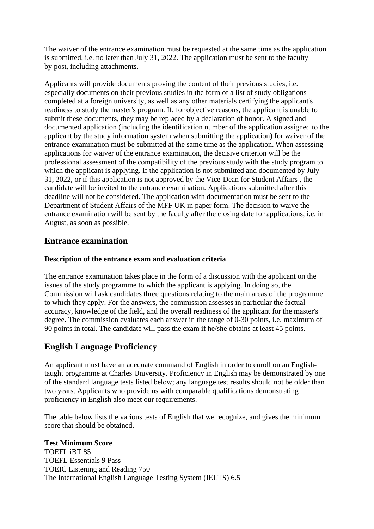The waiver of the entrance examination must be requested at the same time as the application is submitted, i.e. no later than July 31, 2022. The application must be sent to the faculty by post, including attachments.

Applicants will provide documents proving the content of their previous studies, i.e. especially documents on their previous studies in the form of a list of study obligations completed at a foreign university, as well as any other materials certifying the applicant's readiness to study the master's program. If, for objective reasons, the applicant is unable to submit these documents, they may be replaced by a declaration of honor. A signed and documented application (including the identification number of the application assigned to the applicant by the study information system when submitting the application) for waiver of the entrance examination must be submitted at the same time as the application. When assessing applications for waiver of the entrance examination, the decisive criterion will be the professional assessment of the compatibility of the previous study with the study program to which the applicant is applying. If the application is not submitted and documented by July 31, 2022, or if this application is not approved by the Vice-Dean for Student Affairs , the candidate will be invited to the entrance examination. Applications submitted after this deadline will not be considered. The application with documentation must be sent to the Department of Student Affairs of the MFF UK in paper form. The decision to waive the entrance examination will be sent by the faculty after the closing date for applications, i.e. in August, as soon as possible.

#### **Entrance examination**

#### **Description of the entrance exam and evaluation criteria**

The entrance examination takes place in the form of a discussion with the applicant on the issues of the study programme to which the applicant is applying. In doing so, the Commission will ask candidates three questions relating to the main areas of the programme to which they apply. For the answers, the commission assesses in particular the factual accuracy, knowledge of the field, and the overall readiness of the applicant for the master's degree. The commission evaluates each answer in the range of 0-30 points, i.e. maximum of 90 points in total. The candidate will pass the exam if he/she obtains at least 45 points.

#### **English Language Proficiency**

An applicant must have an adequate command of English in order to enroll on an Englishtaught programme at Charles University. Proficiency in English may be demonstrated by one of the standard language tests listed below; any language test results should not be older than two years. Applicants who provide us with comparable qualifications demonstrating proficiency in English also meet our requirements.

The table below lists the various tests of English that we recognize, and gives the minimum score that should be obtained.

#### **Test Minimum Score**

TOEFL iBT 85 TOEFL Essentials 9 Pass TOEIC Listening and Reading 750 The International English Language Testing System (IELTS) 6.5